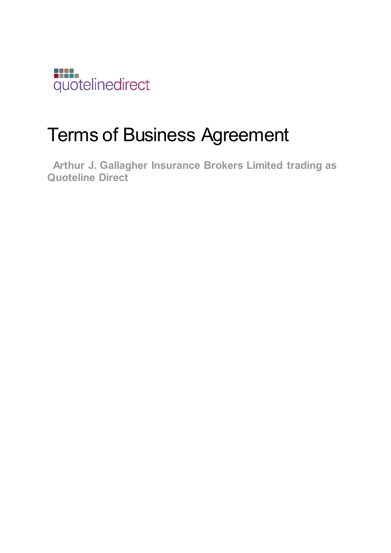

# Terms of Business Agreement

 **Arthur J. Gallagher Insurance Brokers Limited trading as Quoteline Direct**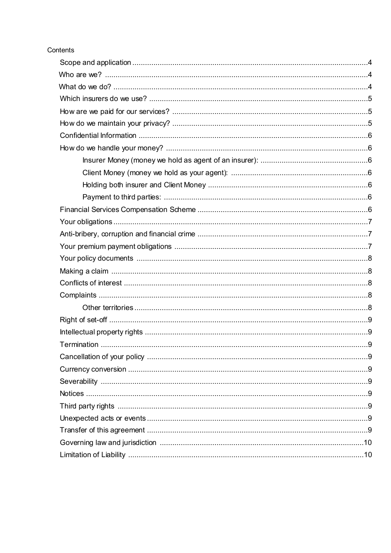# Contents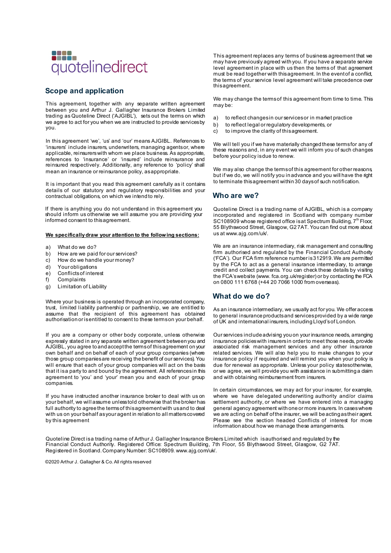

## **Scope and application**

This agreement, together with any separate written agreement between you and Arthur J. Gallagher Insurance Brokers Limited trading as Quoteline Direct ('AJGIBL'), sets out the terms on which we agree to act for you when we are instructed to provide services by you.

In this agreement 'we', 'us' and 'our' means AJGIBL. References to 'insurers' include insurers, underwriters, managing agents or, where applicable, reinsurers with whom we place business. As appropriate, references to 'insurance' or 'insured' include reinsurance and reinsured respectively. Additionally, any reference to 'policy' shall mean an insurance or reinsurance policy, as appropriate.

It is important that you read this agreement carefully as it contains details of our statutory and regulatory responsibilities and your contractual obligations, on which we intend to rely.

If there is anything you do not understand in this agreement you should inform us otherwise we will assume you are providing your informed consent to this agreement.

#### **We specifically draw your attention to the following sections:**

- a) What do we do?
- b) How are we paid for our services?
- c) How do we handle your money?
- d) Your obligations
- e) Conflicts of interest<br>f) Complaints
- 
- f) Complaints<br>g) Limitation o g) Limitation of Liability

Where your business is operated through an incorporated company, trust, limited liability partnership or partnership, we are entitled to assume that the recipient of this agreement has obtained authorisation or is entitled to consent to these terms on your behalf.

If you are a company or other body corporate, unless otherwise expressly stated in any separate written agreement between you and AJGIBL, you agree to and accept the terms of this agreement on your own behalf and on behalf of each of your group companies (where those group companies are receiving the benefit of our services). You will ensure that each of your group companies will act on the basis that it is a party to and bound by the agreement. All references in this agreement to 'you' and 'your' mean you and each of your group companies.

If you have instructed another insurance broker to deal with us on your behalf, we will assume unless told otherwise that the broker has full authority to agree the terms of this agreement with us and to deal with us on your behalf as your agent in relation to all matters covered by this agreement

This agreement replaces any terms of business agreement that we may have previously agreed with you. If you have a separate service level agreement in place with us then the terms of that agreement must be read together with this agreement. In the event of a conflict, the terms of your service level agreement will take precedence over thisagreement.

We may change the terms of this agreement from time to time. This may be:

- a) to reflect changes in our services or in market practice
- b) to reflect legal or regulatory developments, or
- c) to improve the clarity of thisagreement.

We will tell you if we have materially changed these terms for any of these reasons and, in any event we will inform you of such changes before your policy is due to renew.

We may also change the terms of this agreement for other reasons, but if we do, we will notify you in advance and you will have the right to terminate this agreement within 30 days of such notification.

#### **Who are we?**

Quoteline Direct is a trading name of AJGIBL, which is a company incorporated and registered in Scotland with company number SC108909 whose registered office is at Spectrum Building,  $7<sup>th</sup>$  Floor, 55 Blythswood Street, Glasgow, G2 7AT. You can find out more about us at www.ajg.com/uk/.

We are an insurance intermediary, risk management and consulting firm authorised and regulated by the Financial Conduct Authority ('FCA'). Our FCA firm reference number is 312919. We are permitted by the FCA to act as a general insurance intermediary, to arrange credit and collect payments. You can check these details by visiting the FCA's website (www. fca.org.uk/register) or by contacting the FCA on 0800 111 6768 (+44 20 7066 1000 from overseas).

## **What do we do?**

As an insurance intermediary, we usually act for you. We offer access to general insurance products and services provided by a wide range of UK and international insurers, including Lloyd's of London.

Our services include advising you on your insurance needs, arranging insurance policies with insurers in order to meet those needs, provide associated risk management services and any other insurance related services. We will also help you to make changes to your insurance policy if required and will remind you when your policy is due for renewal as appropriate. Unless your policy statesotherwise, or we agree, we will provide you with assistance in submitting a daim and with obtaining reimbursement from insurers.

In certain circumstances, we may act for your insurer, for example, where we have delegated underwriting authority and/or claims settlement authority, or where we have entered into a managing general agency agreement with one or more insurers. In cases where we are acting on behalf of the insurer, we will be acting as their agent. Please see the section headed Conflicts of interest for more information about how we manage these arrangements.

Quoteline Direct is a trading name of Arthur J. Gallagher Insurance Brokers Limited which is authorised and regulated by the Financial Conduct Authority. Registered Office: Spectrum Building, 7th Floor, 55 Blythswood Street, Glasgow, G2 7AT. Registered in Scotland. Company Number: SC108909. www.ajg.com/uk/.

©2020 Arthur J. Gallagher & Co. All rights reserved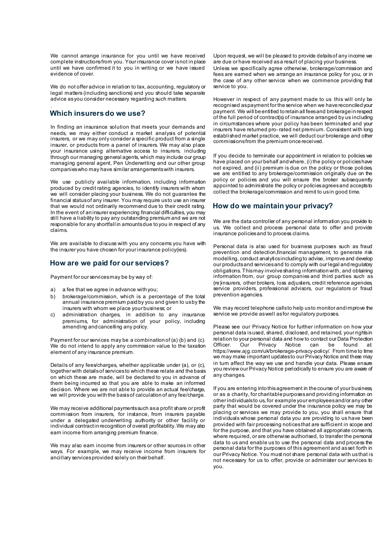We cannot arrange insurance for you until we have received complete instructions from you. Your insurance cover is not in place until we have confirmed it to you in writing or we have issued evidence of cover.

We do not offer advice in relation to tax, accounting, regulatory or legal matters (including sanctions) and you should take separate advice as you consider necessary regarding such matters.

#### . **Which insurers do we use?**

In finding an insurance solution that meets your demands and needs, we may either conduct a market analysis of potential insurers, or we may only consider a specific product from a single insurer, or products from a panel of insurers. We may also place your insurance using alternative access to insurers, including through our managing general agents, which may include our group managing general agent, Pen Underwriting and our other group companies who may have similar arrangements with insurers.

We use publicly available information, including information produced by credit rating agencies, to identify insurers with whom we will consider placing your business. We do not guarantee the financial status of any insurer. You may require us to use an insurer that we would not ordinarily recommend due to their credit rating. In the event of an insurer experiencing financial difficulties, you may still have a liability to pay any outstanding premium and we are not responsible for any shortfall in amounts due to you in respect of any claims.

We are available to discuss with you any concerns you have with the insurer you have chosen for your insurance policy(ies).

#### **How are we paid for our services?**

Payment for our services may be by way of:

- a) a fee that we agree in advance with you;
- b) brokerage/commission, which is a percentage of the total annual insurance premium paid by you and given to us by the insurers with whom we place your business; or
- c) administration charges, in addition to any insurance premiums, for administration of your policy, including amending and cancelling any policy.

Payment for our services may be a combination of (a) (b) and (c). We do not intend to apply any commission value to the taxation element of any insurance premium.

Details of any fees/charges, whether applicable under (a), or (c), together with details of services to which these relate and the basis on which these are made, will be declared to you in advance of them being incurred so that you are able to make an informed decision. Where we are not able to provide an actual fee/charge, we will provide you with the basis of calculation of any fee/charge.

We may receive additional payments such as a profit share or profit commission from insurers, for instance, from insurers payable under a delegated underwriting authority or other facility or individual contract in recognition of overall profitability. We may also earn income from arranging premium finance.

We may also earn income from insurers or other sources in other ways. For example, we may receive income from insurers for ancillary services provided solely on their behalf.

Upon request, we will be pleased to provide details of any income we are due or have received as a result of placing your business.

Unless we specifically agree otherwise, brokerage/commission and fees are earned when we arrange an insurance policy for you, or in the case of any other service when we commence providing that service to you.

However in respect of any payment made to us this will only be recognised as payment for the service when we have reconciled your payment. We will be entitled to retain all fees and brokerage in respect of the full period of contract(s) of insurance arranged by us including in circumstances where your policy has been terminated and your insurers have returned pro- rated net premium. Consistent with long established market practice, we will deduct our brokerage and other commissions from the premium once received.

If you decide to terminate our appointment in relation to policies we have placed on your behalf and where, (i) the policy or policies have not expired, and (ii) premium is due on the policy or those policies, we are entitled to any brokerage/commission originally due on the policy or policies and you will ensure the broker subsequently appointed to administrate the policy or policies agrees and accepts to collect the brokerage/commission and remit to us in good time.

# **How do we maintain your privacy?**

We are the data controller of any personal information you provide to us. We collect and process personal data to offer and provide insurance policies and to process claims.

Personal data is also used for business purposes such as fraud prevention and detection,financial management, to generate risk modelling, conduct analytics including to advise, improve and develop our products and services and to comply with our legal and regulatory obligations. This may involve sharing information with, and obtaining information from, our group companies and third parties such as (re)insurers, other brokers, loss adjusters, credit reference agencies, service providers, professional advisors, our regulators or fraud prevention agencies.

We may record telephone calls to help us to monitor and improve the service we provide as well as for regulatory purposes.

Please see our Privacy Notice for further information on how your personal data is used, shared, disclosed, and retained, your rights in relation to your personal data and how to contact our Data Protection<br>Officer Our Privacy Notice can be found at Privacy Notice can be found at: https://www.ajg.com/uk/brokerage-privacy-policy/. From time to time we may make important updates to our Privacy Notice and these may in turn affect the way we use and handle your data. Please ensure you review our Privacy Notice periodically to ensure you are aware of any changes.

If you are entering into this agreement in the course of your business, or as a charity, for charitable purposes and providing information on other individuals to us, for example your employees and/or any other party that would be covered under the insurance policy we may be placing or services we may provide to you, you shall ensure that individuals whose personal data you are providing to us have been provided with fair processing notices that are sufficient in scope and for the purpose, and that you have obtained all appropriate consents, where required, or are otherwise authorised, to transfer the personal data to us and enable us to use the personal data and process the personal data for the purposes of this agreement and as set forth in our Privacy Notice. You must not share personal data with us that is not necessary for us to offer, provide or administer our services to you.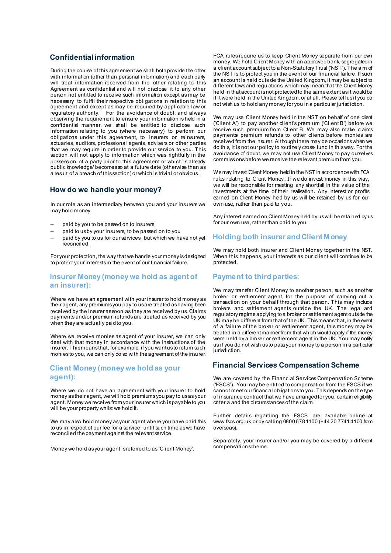#### **Confidential information**

During the course of this agreement we shall both provide the other with information (other than personal information) and each party will treat information received from the other relating to this Agreement as confidential and will not disclose it to any other person not entitled to receive such information except as may be necessary to fulfil their respective obligations in relation to this agreement and except as may be required by applicable law or regulatory authority. For the avoidance of doubt, and always observing the requirement to ensure your information is held in a confidential manner, we shall be entitled to disclose such information relating to you (where necessary) to perform our obligations under this agreement, to insurers or reinsurers, actuaries, auditors, professional agents, advisers or other parties that we may require in order to provide our service to you. This section will not apply to information which was rightfully in the possession of a party prior to this agreement or which is already public knowledge/ becomes so at a future date (otherwise than as a result of a breach of this section) or which is trivial or obvious.

#### **How do we handle your money?**

In our role as an intermediary between you and your insurers we may hold money:

- paid by you to be passed on to insurers
- paid to us by your insurers, to be passed on to you
- paid by you to us for our services, but which we have not yet reconciled.

For your protection, the way that we handle your money is designed to protect your interests in the event of our financial failure.

#### **Insurer Money (money we hold as agent of an insurer):**

Where we have an agreement with your insurer to hold money as their agent, any premiums you pay to us are treated as having been received by the insurer as soon as they are received by us. Claims payments and/or premium refunds are treated as received by you when they are actually paid to you.

Where we receive monies as agent of your insurer, we can only deal with that money in accordance with the instructions of the insurer. This means that, for example, if you want us to return such monies to you, we can only do so with the agreement of the insurer.

## **Client Money (money we hold as your agent):**

Where we do not have an agreement with your insurer to hold money as their agent, we will hold premiums you pay to us as your agent. Money we receive from your insurer which is payable to you will be your property whilst we hold it.

We may also hold money as your agent where you have paid this to us in respect of our fee for a service, until such time as we have reconciled the payment against the relevantservice.

Money we hold as your agent is referred to as 'Client Money'.

FCA rules require us to keep Client Money separate from our own money. We hold Client Money with an approved bank, segregated in a client account subject to a Non-Statutory Trust ('NST'). The aim of the NST is to protect you in the event of our financial failure. If such an account is held outside the United Kingdom, it may be subject to different laws and regulations, which may mean that the Client Money held in that account is not protected to the same extent as it would be if it were held in the United Kingdom, or at all. Please tell us if you do not wish us to hold any money for you in a particular jurisdiction.

We may use Client Money held in the NST on behalf of one dient ('Client A') to pay another client's premium ('Client B') before we receive such premium from Client B. We may also make claims payments/ premium refunds to other clients before monies are received from the insurer. Although there may be occasions when we do this, it is not our policy to routinely cross- fund in this way. For the avoidance of doubt, we may not use Client Money to pay ourselves commissions before we receive the relevant premium from you.

We may invest Client Money held in the NST in accordance with FCA rules relating to Client Money. If we do invest money in this way, we will be responsible for meeting any shortfall in the value of the investments at the time of their realisation. Any interest or profits earned on Client Money held by us will be retained by us for our own use, rather than paid to you.

Any interest earned on Client Money held by us will be retained by us for our own use, rather than paid to you.

#### **Holding both insurer and Client Money**

We may hold both insurer and Client Money together in the NST. When this happens, your interests as our client will continue to be protected.

#### **Payment to third parties:**

We may transfer Client Money to another person, such as another broker or settlement agent, for the purpose of carrying out a transaction on your behalf through that person. This may include brokers and settlement agents outside the UK. The legal and regulatory regime applying to a broker or settlement agent outside the UK may be different from that of the UK. This means that, in the event of a failure of the broker or settlement agent, this money may be treated in a different manner from that which would apply if the money were held by a broker or settlement agent in the UK. You may notify us if you do not wish us to pass your money to a person in a particular jurisdiction.

## **Financial Services Compensation Scheme**

We are covered by the Financial Services Compensation Scheme ('FSCS'). You may be entitled to compensation from the FSCS if we cannot meet our financial obligations to you. This depends on the type of insurance contract that we have arranged for you, certain eligibility criteria and the circumstances of the claim.

Further details regarding the FSCS are available online at www.fscs.org.uk or by calling 0800 678 1100 (+44 20 7741 4100 from overseas).

Separately, your insurer and/or you may be covered by a different compensation scheme.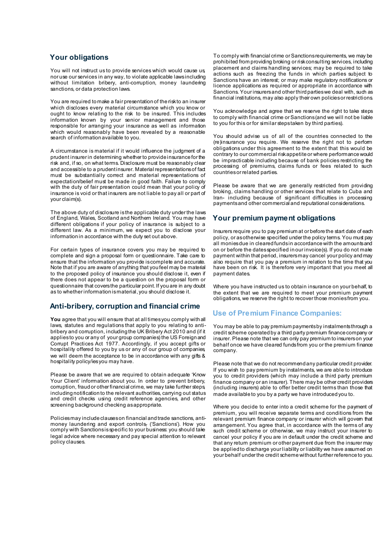#### **Your obligations**

You will not instruct us to provide services which would cause us, nor use our services in any way, to violate applicable laws including without limitation bribery, anti-corruption, money laundering sanctions, or data protection laws.

You are required to make a fair presentation of the risk to an insurer which discloses every material circumstance which you know or ought to know relating to the risk to be insured. This includes information known by your senior management and those responsible for arranging your insurance as well as information which would reasonably have been revealed by a reasonable search of information available to you.

A circumstance is material if it would influence the judgment of a prudent insurer in determining whether to provide insurance for the risk and, if so, on what terms. Disclosure must be reasonably clear and accessible to a prudent insurer. Material representations of fact must be substantially correct and material representations of expectation/belief must be made in good faith. Failure to comply with the duty of fair presentation could mean that your policy of insurance is void or that insurers are not liable to pay all or part of your claim(s).

The above duty of disclosure is the applicable duty under the laws of England, Wales, Scotland and Northern Ireland. You may have different obligations if your policy of insurance is subject to a different law. As a minimum, we expect you to disclose your information in accordance with the duty set out above.

For certain types of insurance covers you may be required to complete and sign a proposal form or questionnaire. Take care to ensure that the information you provide is complete and accurate. Note that if you are aware of anything that you feel may be material to the proposed policy of insurance you should disclose it, even if there does not appear to be a question on the proposal form or questionnaire that covers the particular point. If you are in any doubt as to whether information is material, you should disclose it.

## **Anti-bribery, corruption and financial crime**

**You** agree that you will ensure that at all times you comply with all laws, statutes and regulations that apply to you relating to antibribery and corruption, including the UK Bribery Act 2010 and (if it applies to you or any of your group companies) the US Foreign and Corrupt Practices Act 1977. Accordingly, if you accept gifts or hospitality offered to you by us or any of our group of companies, we will deem the acceptance to be in accordance with any gifts & hospitality policy/ies you may have.

Please be aware that we are required to obtain adequate 'Know Your Client' information about you. In order to prevent bribery, corruption, fraud or other financial crime, we may take further steps, including notification to the relevant authorities, carrying out status and credit checks using credit reference agencies, and other screening background checking as appropriate.

Policies may include clauses on financial and trade sanctions, antimoney laundering and export controls, ('Sanctions'). How you comply with Sanctions is specific to your business: you should take legal advice where necessary and pay special attention to relevant policy clauses.

To comply with financial crime or Sanctions requirements, we may be prohibited from providing broking or risk consulting services, including placement and claims handling services; may be required to take actions such as freezing the funds in which parties subject to Sanctions have an interest; or may make regulatory notifications or licence applications as required or appropriate in accordance with Sanctions. Your insurers and other third parties we deal with, such as financial institutions, may also apply their own policies or restrictions.

You acknowledge and agree that we reserve the right to take steps to comply with financial crime or Sanctions (and we will not be liable to you for this or for similar steps taken by third parties).

You should advise us of all of the countries connected to the (re)insurance you require. We reserve the right not to perform obligations under this agreement to the extent that this would be contrary to our commercial risk appetite or where performance would be impracticable including because of bank policies restricting the processing of premiums, claims funds or fees related to such countries or related parties.

Please be aware that we are generally restricted from providing broking, claims handling or other services that relate to Cuba and Iran- including because of significant difficulties in processing payments and other commercial and reputational considerations.

## **Your premium payment obligations**

Insurers require you to pay premium at or before the start date of each policy, or as otherwise specified under the policy terms. You must pay all monies due in cleared funds in accordance with the amounts and on or before the dates specified in our invoice(s). If you do not make payment within that period, insurers may cancel your policy and may also require that you pay a premium in relation to the time that you have been on risk. It is therefore very important that you meet all payment dates.

Where you have instructed us to obtain insurance on your behalf, to the extent that we are required to meet your premium payment obligations, we reserve the right to recover those monies from you.

## **Use of Premium Finance Companies:**

You may be able to pay premium payments by instalments through a credit scheme operated by a third party premium finance company or insurer. Please note that we can only pay premium to insurers on your behalf once we have cleared funds from you or the premium finance company.

Please note that we do not recommend any particular credit provider. If you wish to pay premium by instalments, we are able to introduce you to credit providers (which may include a third party premium finance company or an insurer). There may be other credit providers (including insurers) able to offer better credit terms than those that made available to you by a party we have introduced you to.

Where you decide to enter into a credit scheme for the payment of premium, you will receive separate terms and conditions from the relevant premium finance company or insurer which will govern that arrangement. You agree that, in accordance with the terms of any such credit scheme or otherwise, we may instruct your insurer to cancel your policy if you are in default under the credit scheme and that any return premium or other payment due from the insurer may be applied to discharge your liability or liability we have assumed on your behalf under the credit scheme without further reference to you.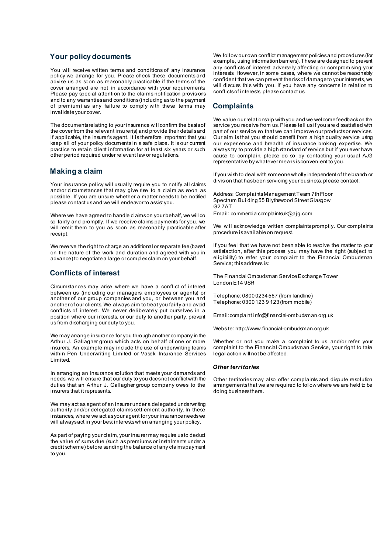## **Your policy documents**

You will receive written terms and conditions of any insurance policy we arrange for you. Please check these documents and advise us as soon as reasonably practicable if the terms of the cover arranged are not in accordance with your requirements. Please pay special attention to the claims notification provisions and to any warranties and conditions (including as to the payment of premium) as any failure to comply with these terms may invalidate your cover.

The documents relating to your insurance will confirm the basis of the cover from the relevant insurer(s) and provide their details and if applicable, the insurer's agent. It is therefore important that you keep all of your policy documents in a safe place. It is our current practice to retain client information for at least six years or such other period required under relevant law or regulations.

#### **Making a claim**

Your insurance policy will usually require you to notify all claims and/or circumstances that may give rise to a claim as soon as possible. If you are unsure whether a matter needs to be notified please contact us and we will endeavor to assist you.

Where we have agreed to handle claims on your behalf, we will do so fairly and promptly. If we receive claims payments for you, we will remit them to you as soon as reasonably practicable after receipt.

We reserve the right to charge an additional or separate fee (based on the nature of the work and duration and agreed with you in advance) to negotiate a large or complex claim on your behalf.

#### **Conflicts of interest**

Circumstances may arise where we have a conflict of interest between us (including our managers, employees or agents) or another of our group companies and you, or between you and another of our clients. We always aim to treat you fairly and avoid conflicts of interest. We never deliberately put ourselves in a position where our interests, or our duty to another party, prevent us from discharging our duty to you.

We may arrange insurance for you through another company in the Arthur J. Gallagher group which acts on behalf of one or more insurers. An example may include the use of underwriting teams within Pen Underwriting Limited or Vasek Insurance Services Limited.

In arranging an insurance solution that meets your demands and needs, we will ensure that our duty to you does not conflict with the duties that an Arthur J. Gallagher group company owes to the insurers that it represents.

We may act as agent of an insurer under a delegated underwriting authority and/or delegated claims settlement authority. In these instances, where we act as your agent for your insurance needs we will always act in your best interests when arranging your policy.

As part of paying your claim, your insurer may require us to deduct the value of sums due (such as premiums or instalments under a credit scheme) before sending the balance of any claims payment to you.

We follow our own conflict management policies and procedures (for example, using information barriers). These are designed to prevent any conflicts of interest adversely affecting or compromising your interests. However, in some cases, where we cannot be reasonably confident that we can prevent the risk of damage to your interests, we will discuss this with you. If you have any concerns in relation to conflicts of interests, please contact us.

# **Complaints**

We value our relationship with you and we welcome feedback on the service you receive from us. Please tell us if you are dissatisfied with part of our service so that we can improve our products or services. Our aim is that you should benefit from a high quality service using our experience and breadth of insurance broking expertise. We always try to provide a high standard of service but if you ever have cause to complain, please do so by contacting your usual AJG representative by whatever means is convenient to you.

If you wish to deal with someone wholly independent of the branch or division that has been servicing your business, please contact:

Address: Complaints Management Team 7th Floor Spectrum Building 55 Blythswood Street Glasgow G<sub>2</sub> 7AT Email: commercialcomplaintsuk@ajg.com

We will acknowledge written complaints promptly. Our complaints procedure is available on request.

If you feel that we have not been able to resolve the matter to your satisfaction, after this process you may have the right (subject to eligibility) to refer your complaint to the Financial Ombudsman Service; this address is:

The Financial Ombudsman Service ExchangeTower London E14 9SR

Telephone: 0800 0234 567 (from landline) Telephone: 0300 123 9 123 (from mobile)

Email:complaint.info@financial-ombudsman.org.uk

Website: http://www.financial-ombudsman.org.uk

Whether or not you make a complaint to us and/or refer your complaint to the Financial Ombudsman Service, your right to take legal action will not be affected.

#### *Other territories*

Other territories may also offer complaints and dispute resolution arrangements that we are required to follow where we are held to be doing business there.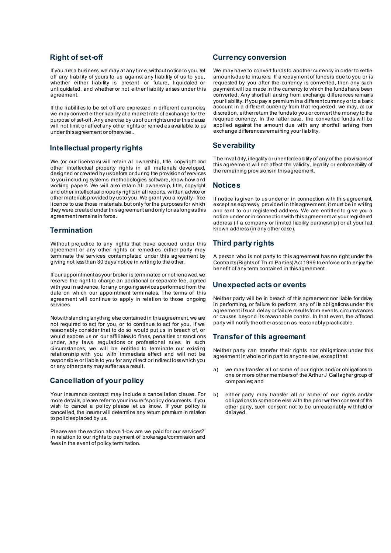## **Right of set-off**

If you are a business, we may at any time, without notice to you, set off any liability of yours to us against any liability of us to you, whether either liability is present or future, liquidated or unliquidated, and whether or not either liability arises under this agreement.

If the liabilities to be set off are expressed in different currencies, we may convert either liability at a market rate of exchange for the purpose of set-off. Any exercise by us of our rights under this clause will not limit or affect any other rights or remedies available to us under this agreement or otherwise..

## **Intellectual property rights**

We (or our licensors) will retain all ownership, title, copyright and other intellectual property rights in all materials developed, designed or created by us before or during the provision of services to you including systems, methodologies, software, know-how and working papers. We will also retain all ownership, title, copyright and other intellectual property rights in all reports, written advice or other materials provided by us to you. We grant you a royalty - free licence to use those materials, but only for the purposes for which they were created under this agreement and only for as long as this agreement remains in force.

#### **Termination**

Without prejudice to any rights that have accrued under this agreement or any other rights or remedies, either party may terminate the services contemplated under this agreement by giving not less than 30 days' notice in writing to the other.

If our appointment as your broker is terminated or not renewed, we reserve the right to charge an additional or separate fee, agreed with you in advance, for any ongoing services performed from the date on which our appointment terminates. The terms of this agreement will continue to apply in relation to those ongoing services.

Notwithstanding anything else contained in this agreement, we are not required to act for you, or to continue to act for you, if we reasonably consider that to do so would put us in breach of, or would expose us or our affiliates to fines, penalties or sanctions under, any laws, regulations or professional rules. In such circumstances, we will be entitled to terminate our existing relationship with you with immediate effect and will not be responsible or liable to you for any direct or indirect loss which you or any other party may suffer as a result.

## **Cancellation of your policy**

Your insurance contract may include a cancellation clause. For more details, please refer to your insurer's policy documents. If you wish to cancel a policy please let us know. If your policy is cancelled, the insurer will determine any return premium in relation to policies placed by us.

Please see the section above 'How are we paid for our services?' in relation to our rights to payment of brokerage/commission and fees in the event of policy termination.

#### **Currency conversion**

We may have to convert funds to another currency in order to settle amounts due to insurers. If a repayment of funds is due to you or is requested by you after the currency is converted, then any such payment will be made in the currency to which the funds have been converted. Any shortfall arising from exchange differences remains your liability. If you pay a premium in a different currency or to a bank account in a different currency from that requested, we may, at our discretion, either return the funds to you or convert the money to the required currency. In the latter case, the converted funds will be applied against the amount due with any shortfall arising from exchange differences remaining your liability.

## **Severability**

The invalidity, illegality or unenforceability of any of the provisions of this agreement will not affect the validity, legality or enforceability of the remaining provisions in this agreement.

#### **Notices**

If notice is given to us under or in connection with this agreement, except as expressly provided in this agreement, it must be in writing and sent to our registered address. We are entitled to give you a notice under or in connection with this agreement at your registered address (if a company or limited liability partnership) or at your last known address (in any other case).

# **Third party rights**

A person who is not party to this agreement has no right under the Contracts (Rights of Third Parties) Act 1999 to enforce or to enjoy the benefit of any term contained in this agreement.

## **Unexpected acts or events**

Neither party will be in breach of this agreement nor liable for delay in performing, or failure to perform, any of its obligations under this agreement if such delay or failure results from events, circumstances or causes beyond its reasonable control. In that event, the affected party will notify the other as soon as reasonably practicable.

## **Transfer of this agreement**

Neither party can transfer their rights nor obligations under this agreement in whole or in part to anyone else, except that:

- a) we may transfer all or some of our rights and/or obligations to one or more other members of the Arthur J Gallagher group of companies; and
- b) either party may transfer all or some of our rights and/or obligations to someone else with the prior written consent of the other party, such consent not to be unreasonably withheld or delayed.